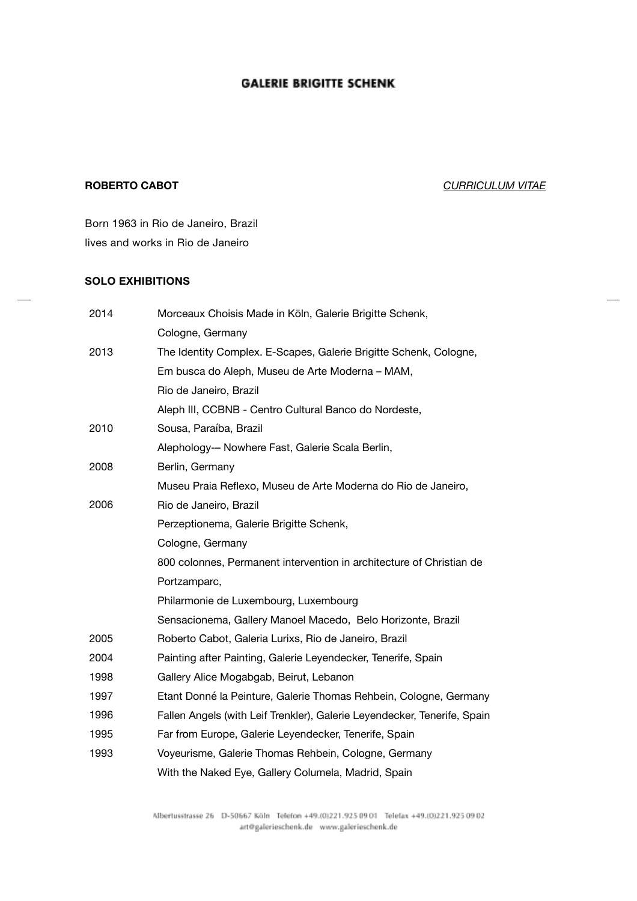## **ROBERTO CABOT** *CURRICULUM VITAE*

Born 1963 in Rio de Janeiro, Brazil lives and works in Rio de Janeiro

### **SOLO EXHIBITIONS**

| 2014 | Morceaux Choisis Made in Köln, Galerie Brigitte Schenk,                  |
|------|--------------------------------------------------------------------------|
|      | Cologne, Germany                                                         |
| 2013 | The Identity Complex. E-Scapes, Galerie Brigitte Schenk, Cologne,        |
|      | Em busca do Aleph, Museu de Arte Moderna - MAM,                          |
|      | Rio de Janeiro, Brazil                                                   |
|      | Aleph III, CCBNB - Centro Cultural Banco do Nordeste,                    |
| 2010 | Sousa, Paraíba, Brazil                                                   |
|      | Alephology-- Nowhere Fast, Galerie Scala Berlin,                         |
| 2008 | Berlin, Germany                                                          |
|      | Museu Praia Reflexo, Museu de Arte Moderna do Rio de Janeiro,            |
| 2006 | Rio de Janeiro, Brazil                                                   |
|      | Perzeptionema, Galerie Brigitte Schenk,                                  |
|      | Cologne, Germany                                                         |
|      | 800 colonnes, Permanent intervention in architecture of Christian de     |
|      | Portzamparc,                                                             |
|      | Philarmonie de Luxembourg, Luxembourg                                    |
|      | Sensacionema, Gallery Manoel Macedo, Belo Horizonte, Brazil              |
| 2005 | Roberto Cabot, Galeria Lurixs, Rio de Janeiro, Brazil                    |
| 2004 | Painting after Painting, Galerie Leyendecker, Tenerife, Spain            |
| 1998 | Gallery Alice Mogabgab, Beirut, Lebanon                                  |
| 1997 | Etant Donné la Peinture, Galerie Thomas Rehbein, Cologne, Germany        |
| 1996 | Fallen Angels (with Leif Trenkler), Galerie Leyendecker, Tenerife, Spain |
| 1995 | Far from Europe, Galerie Leyendecker, Tenerife, Spain                    |
| 1993 | Voyeurisme, Galerie Thomas Rehbein, Cologne, Germany                     |
|      | With the Naked Eye, Gallery Columela, Madrid, Spain                      |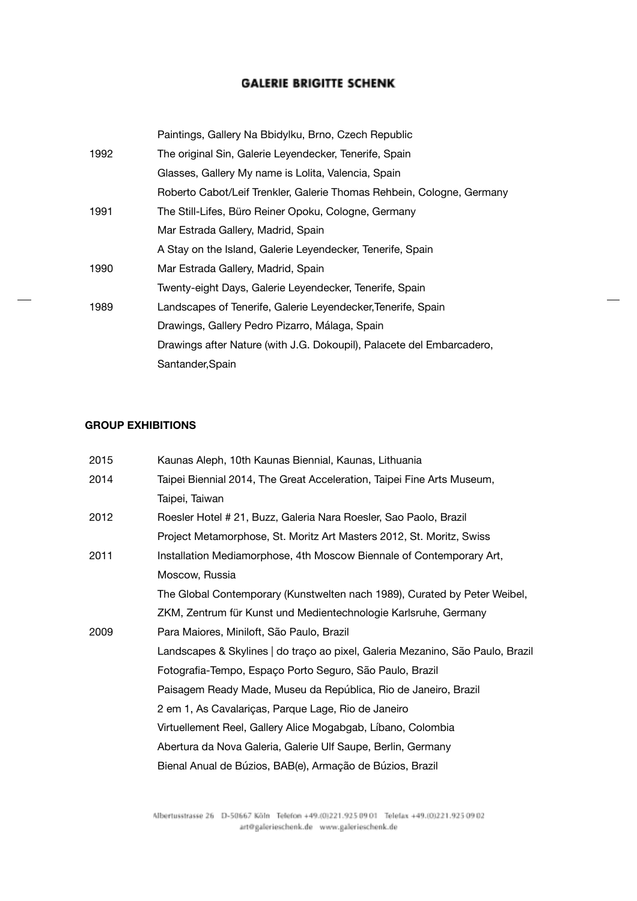|      | Paintings, Gallery Na Bbidylku, Brno, Czech Republic                  |
|------|-----------------------------------------------------------------------|
| 1992 | The original Sin, Galerie Leyendecker, Tenerife, Spain                |
|      | Glasses, Gallery My name is Lolita, Valencia, Spain                   |
|      | Roberto Cabot/Leif Trenkler, Galerie Thomas Rehbein, Cologne, Germany |
| 1991 | The Still-Lifes, Büro Reiner Opoku, Cologne, Germany                  |
|      | Mar Estrada Gallery, Madrid, Spain                                    |
|      | A Stay on the Island, Galerie Leyendecker, Tenerife, Spain            |
| 1990 | Mar Estrada Gallery, Madrid, Spain                                    |
|      | Twenty-eight Days, Galerie Leyendecker, Tenerife, Spain               |
| 1989 | Landscapes of Tenerife, Galerie Leyendecker, Tenerife, Spain          |
|      | Drawings, Gallery Pedro Pizarro, Málaga, Spain                        |
|      | Drawings after Nature (with J.G. Dokoupil), Palacete del Embarcadero, |
|      | Santander, Spain                                                      |

 $\overline{\phantom{a}}$ 

## **GROUP EXHIBITIONS**

| 2015 | Kaunas Aleph, 10th Kaunas Biennial, Kaunas, Lithuania                          |
|------|--------------------------------------------------------------------------------|
| 2014 | Taipei Biennial 2014, The Great Acceleration, Taipei Fine Arts Museum,         |
|      | Taipei, Taiwan                                                                 |
| 2012 | Roesler Hotel # 21, Buzz, Galeria Nara Roesler, Sao Paolo, Brazil              |
|      | Project Metamorphose, St. Moritz Art Masters 2012, St. Moritz, Swiss           |
| 2011 | Installation Mediamorphose, 4th Moscow Biennale of Contemporary Art,           |
|      | Moscow, Russia                                                                 |
|      | The Global Contemporary (Kunstwelten nach 1989), Curated by Peter Weibel,      |
|      | ZKM, Zentrum für Kunst und Medientechnologie Karlsruhe, Germany                |
| 2009 | Para Maiores, Miniloft, São Paulo, Brazil                                      |
|      | Landscapes & Skylines   do traço ao pixel, Galeria Mezanino, São Paulo, Brazil |
|      | Fotografia-Tempo, Espaço Porto Seguro, São Paulo, Brazil                       |
|      | Paisagem Ready Made, Museu da República, Rio de Janeiro, Brazil                |
|      | 2 em 1, As Cavalariças, Parque Lage, Rio de Janeiro                            |
|      | Virtuellement Reel, Gallery Alice Mogabgab, Líbano, Colombia                   |
|      | Abertura da Nova Galeria, Galerie Ulf Saupe, Berlin, Germany                   |
|      | Bienal Anual de Búzios, BAB(e), Armação de Búzios, Brazil                      |
|      |                                                                                |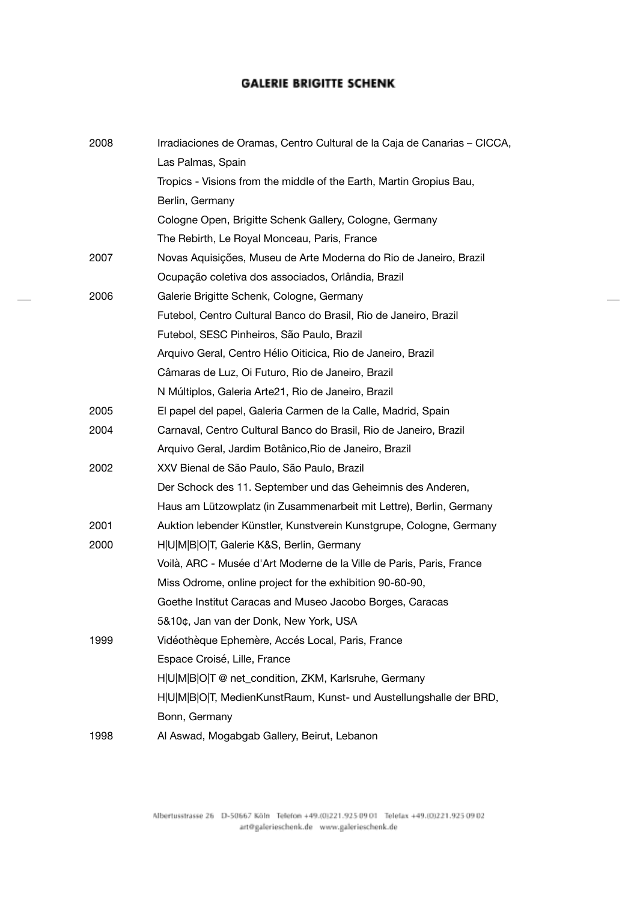$\overline{\phantom{a}}$ 

| 2008 | Irradiaciones de Oramas, Centro Cultural de la Caja de Canarias - CICCA, |
|------|--------------------------------------------------------------------------|
|      | Las Palmas, Spain                                                        |
|      | Tropics - Visions from the middle of the Earth, Martin Gropius Bau,      |
|      | Berlin, Germany                                                          |
|      | Cologne Open, Brigitte Schenk Gallery, Cologne, Germany                  |
|      | The Rebirth, Le Royal Monceau, Paris, France                             |
| 2007 | Novas Aquisições, Museu de Arte Moderna do Rio de Janeiro, Brazil        |
|      | Ocupação coletiva dos associados, Orlândia, Brazil                       |
| 2006 | Galerie Brigitte Schenk, Cologne, Germany                                |
|      | Futebol, Centro Cultural Banco do Brasil, Rio de Janeiro, Brazil         |
|      | Futebol, SESC Pinheiros, São Paulo, Brazil                               |
|      | Arquivo Geral, Centro Hélio Oiticica, Rio de Janeiro, Brazil             |
|      | Câmaras de Luz, Oi Futuro, Rio de Janeiro, Brazil                        |
|      | N Múltiplos, Galeria Arte21, Rio de Janeiro, Brazil                      |
| 2005 | El papel del papel, Galeria Carmen de la Calle, Madrid, Spain            |
| 2004 | Carnaval, Centro Cultural Banco do Brasil, Rio de Janeiro, Brazil        |
|      | Arquivo Geral, Jardim Botânico, Rio de Janeiro, Brazil                   |
| 2002 | XXV Bienal de São Paulo, São Paulo, Brazil                               |
|      | Der Schock des 11. September und das Geheimnis des Anderen,              |
|      | Haus am Lützowplatz (in Zusammenarbeit mit Lettre), Berlin, Germany      |
| 2001 | Auktion lebender Künstler, Kunstverein Kunstgrupe, Cologne, Germany      |
| 2000 | H U M B O T, Galerie K&S, Berlin, Germany                                |
|      | Voilà, ARC - Musée d'Art Moderne de la Ville de Paris, Paris, France     |
|      | Miss Odrome, online project for the exhibition 90-60-90,                 |
|      | Goethe Institut Caracas and Museo Jacobo Borges, Caracas                 |
|      | 5&10¢, Jan van der Donk, New York, USA                                   |
| 1999 | Vidéothèque Ephemère, Accés Local, Paris, France                         |
|      | Espace Croisé, Lille, France                                             |
|      | H U M B O T @ net_condition, ZKM, Karlsruhe, Germany                     |
|      | H U M B O T, MedienKunstRaum, Kunst- und Austellungshalle der BRD,       |
|      | Bonn, Germany                                                            |
| 1998 | Al Aswad, Mogabgab Gallery, Beirut, Lebanon                              |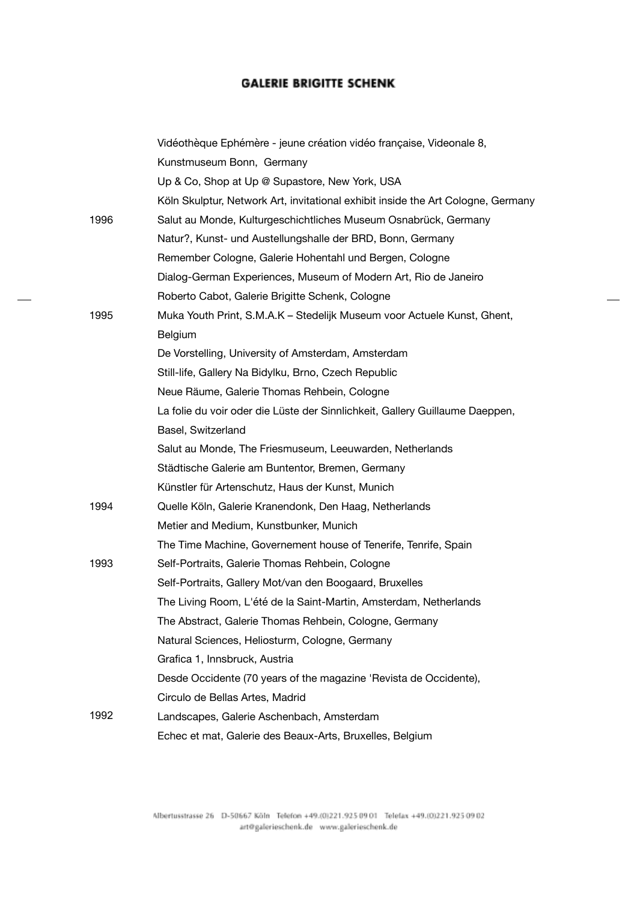|      | Vidéothèque Ephémère - jeune création vidéo française, Videonale 8,              |
|------|----------------------------------------------------------------------------------|
|      | Kunstmuseum Bonn, Germany                                                        |
|      | Up & Co, Shop at Up @ Supastore, New York, USA                                   |
|      | Köln Skulptur, Network Art, invitational exhibit inside the Art Cologne, Germany |
| 1996 | Salut au Monde, Kulturgeschichtliches Museum Osnabrück, Germany                  |
|      | Natur?, Kunst- und Austellungshalle der BRD, Bonn, Germany                       |
|      | Remember Cologne, Galerie Hohentahl und Bergen, Cologne                          |
|      | Dialog-German Experiences, Museum of Modern Art, Rio de Janeiro                  |
|      | Roberto Cabot, Galerie Brigitte Schenk, Cologne                                  |
| 1995 | Muka Youth Print, S.M.A.K – Stedelijk Museum voor Actuele Kunst, Ghent,          |
|      | Belgium                                                                          |
|      | De Vorstelling, University of Amsterdam, Amsterdam                               |
|      | Still-life, Gallery Na Bidylku, Brno, Czech Republic                             |
|      | Neue Räume, Galerie Thomas Rehbein, Cologne                                      |
|      | La folie du voir oder die Lüste der Sinnlichkeit, Gallery Guillaume Daeppen,     |
|      | Basel, Switzerland                                                               |
|      | Salut au Monde, The Friesmuseum, Leeuwarden, Netherlands                         |
|      | Städtische Galerie am Buntentor, Bremen, Germany                                 |
|      | Künstler für Artenschutz, Haus der Kunst, Munich                                 |
| 1994 | Quelle Köln, Galerie Kranendonk, Den Haag, Netherlands                           |
|      | Metier and Medium, Kunstbunker, Munich                                           |
|      | The Time Machine, Governement house of Tenerife, Tenrife, Spain                  |
| 1993 | Self-Portraits, Galerie Thomas Rehbein, Cologne                                  |
|      | Self-Portraits, Gallery Mot/van den Boogaard, Bruxelles                          |
|      | The Living Room, L'été de la Saint-Martin, Amsterdam, Netherlands                |
|      | The Abstract, Galerie Thomas Rehbein, Cologne, Germany                           |
|      | Natural Sciences, Heliosturm, Cologne, Germany                                   |
|      | Grafica 1, Innsbruck, Austria                                                    |
|      | Desde Occidente (70 years of the magazine 'Revista de Occidente),                |
|      | Circulo de Bellas Artes, Madrid                                                  |
| 1992 | Landscapes, Galerie Aschenbach, Amsterdam                                        |
|      | Echec et mat, Galerie des Beaux-Arts, Bruxelles, Belgium                         |

 $\overline{\phantom{a}}$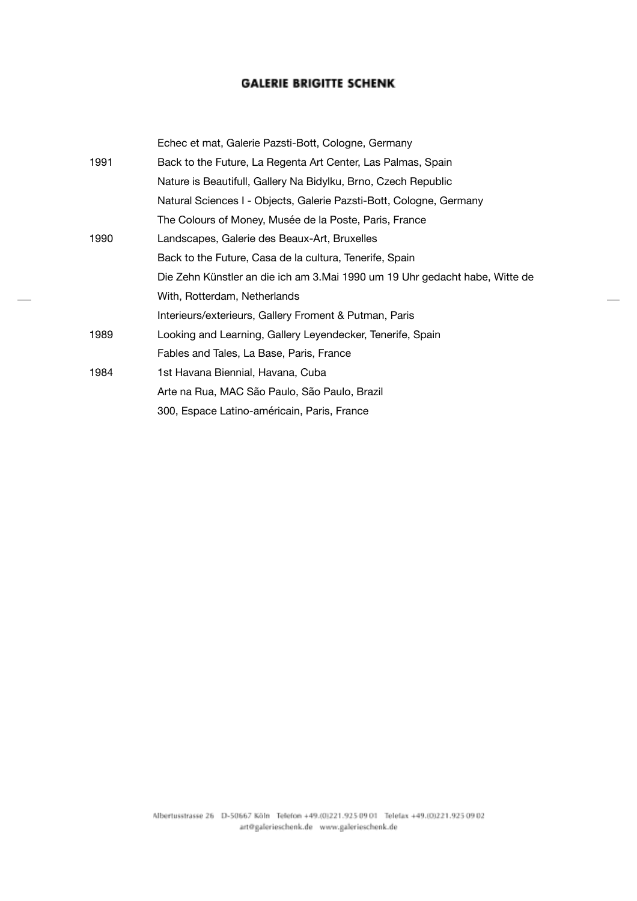|      | Echec et mat, Galerie Pazsti-Bott, Cologne, Germany                         |
|------|-----------------------------------------------------------------------------|
| 1991 | Back to the Future, La Regenta Art Center, Las Palmas, Spain                |
|      | Nature is Beautifull, Gallery Na Bidylku, Brno, Czech Republic              |
|      | Natural Sciences I - Objects, Galerie Pazsti-Bott, Cologne, Germany         |
|      | The Colours of Money, Musée de la Poste, Paris, France                      |
| 1990 | Landscapes, Galerie des Beaux-Art, Bruxelles                                |
|      | Back to the Future, Casa de la cultura, Tenerife, Spain                     |
|      | Die Zehn Künstler an die ich am 3.Mai 1990 um 19 Uhr gedacht habe, Witte de |
|      | With, Rotterdam, Netherlands                                                |
|      | Interieurs/exterieurs, Gallery Froment & Putman, Paris                      |
| 1989 | Looking and Learning, Gallery Leyendecker, Tenerife, Spain                  |
|      | Fables and Tales, La Base, Paris, France                                    |
| 1984 | 1st Havana Biennial, Havana, Cuba                                           |
|      | Arte na Rua, MAC São Paulo, São Paulo, Brazil                               |
|      | 300, Espace Latino-américain, Paris, France                                 |